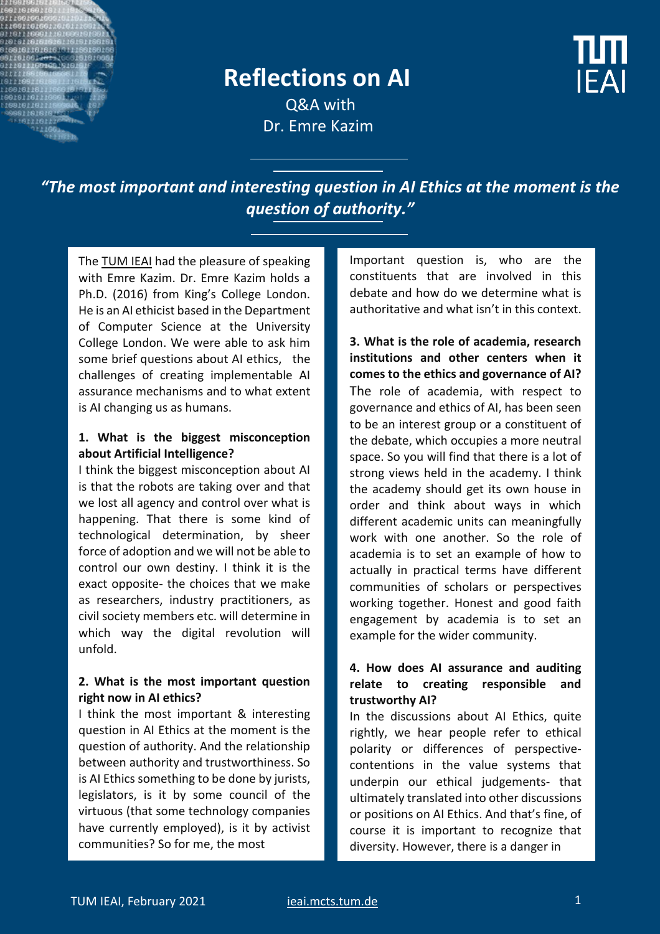

# **Reflections on AI**

**IFAI** 

Q&A with Dr. Emre Kazim

*"The most important and interesting question in AI Ethics at the moment is the question of authority."*

The TUM IEAI had the pleasure of speaking with Emre Kazim. Dr. Emre Kazim holds a Ph.D. (2016) from King's College London. He is an AI ethicist based in the Department of Computer Science at the University College London. We were able to ask him some brief questions about AI ethics, the challenges of creating implementable AI assurance mechanisms and to what extent is AI changing us as humans.

#### **1. What is the biggest misconception about Artificial Intelligence?**

I think the biggest misconception about AI is that the robots are taking over and that we lost all agency and control over what is happening. That there is some kind of technological determination, by sheer force of adoption and we will not be able to control our own destiny. I think it is the exact opposite- the choices that we make as researchers, industry practitioners, as civil society members etc. will determine in which way the digital revolution will unfold.

## **2. What is the most important question right now in AI ethics?**

I think the most important & interesting question in AI Ethics at the moment is the question of authority. And the relationship between authority and trustworthiness. So is AI Ethics something to be done by jurists, legislators, is it by some council of the virtuous (that some technology companies have currently employed), is it by activist communities? So for me, the most

Important question is, who are the constituents that are involved in this debate and how do we determine what is authoritative and what isn't in this context.

**3. What is the role of academia, research institutions and other centers when it comes to the ethics and governance of AI?** The role of academia, with respect to governance and ethics of AI, has been seen to be an interest group or a constituent of the debate, which occupies a more neutral space. So you will find that there is a lot of strong views held in the academy. I think the academy should get its own house in order and think about ways in which different academic units can meaningfully work with one another. So the role of academia is to set an example of how to actually in practical terms have different communities of scholars or perspectives working together. Honest and good faith engagement by academia is to set an example for the wider community.

# **4. How does AI assurance and auditing relate to creating responsible and trustworthy AI?**

In the discussions about AI Ethics, quite rightly, we hear people refer to ethical polarity or differences of perspectivecontentions in the value systems that underpin our ethical judgements- that ultimately translated into other discussions or positions on AI Ethics. And that's fine, of course it is important to recognize that diversity. However, there is a danger in